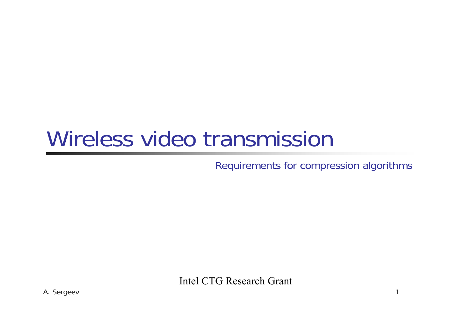#### Wireless video transmission

Requirements for compression algorithms

Intel CTG Research Grant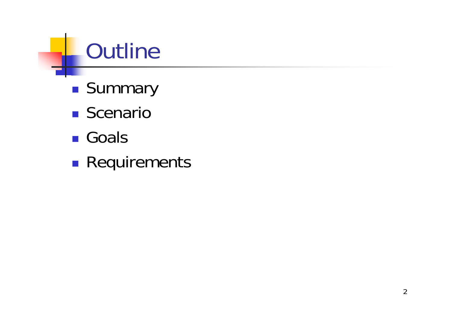# **Outline**

- **Summary**
- **Scenario**
- Goals
- **Service Service Requirements**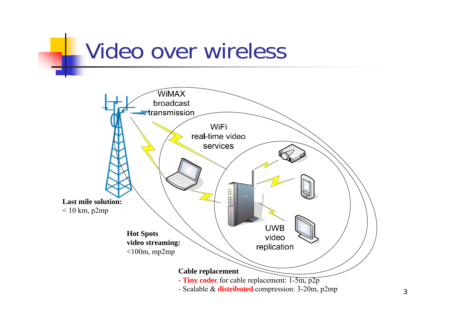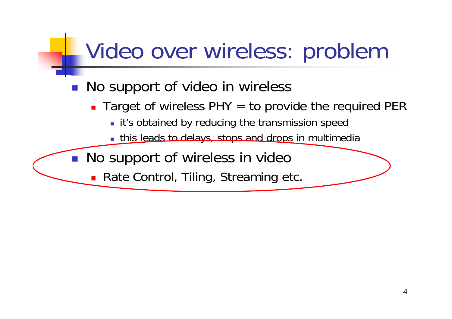#### Video over wireless: problem

#### **No support of video in wireless**

- Target of wireless PHY = to provide the required PER
	- **I** it's obtained by reducing the transmission speed
	- **this leads to delays, stops and drops in multimedia**

No support of wireless in video

 $\mathbb{R}^n$ 

**Rate Control, Tiling, Streaming etc.**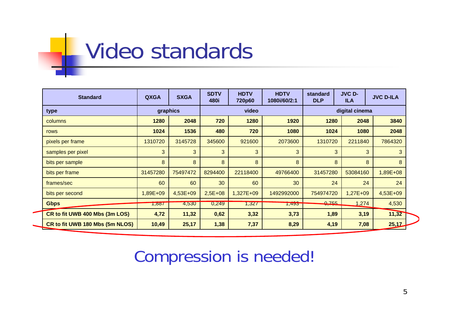# Video standards

| <b>Standard</b>                 | <b>QXGA</b> | <b>SXGA</b> | <b>SDTV</b><br>480i | <b>HDTV</b><br>720p60 | <b>HDTV</b><br>1080i/60/2:1 | standard<br><b>DLP</b>                  | <b>JVC D-</b><br><b>ILA</b> | <b>JVC D-ILA</b> |
|---------------------------------|-------------|-------------|---------------------|-----------------------|-----------------------------|-----------------------------------------|-----------------------------|------------------|
| type                            | graphics    |             | video               |                       |                             | digital cinema                          |                             |                  |
| columns                         | 1280        | 2048        | 720                 | 1280                  | 1920                        | 1280                                    | 2048                        | 3840             |
| rows                            | 1024        | 1536        | 480                 | 720                   | 1080                        | 1024                                    | 1080                        | 2048             |
| pixels per frame                | 1310720     | 3145728     | 345600              | 921600                | 2073600                     | 1310720                                 | 2211840                     | 7864320          |
| samples per pixel               | 3           | 3           | 3                   | 3                     | 3                           | 3                                       | 3                           | 3                |
| bits per sample                 | 8           | 8           | 8                   | 8                     | 8                           | 8                                       | 8                           | 8                |
| bits per frame                  | 31457280    | 75497472    | 8294400             | 22118400              | 49766400                    | 31457280                                | 53084160                    | 1,89E+08         |
| frames/sec                      | 60          | 60          | 30                  | 60                    | 30                          | 24                                      | 24                          | 24               |
| bits per second                 | 1,89E+09    | $4,53E+09$  | $2,5E+08$           | 1,327E+09             | 1492992000                  | 754974720                               | $1,27E+09$                  | 4,53E+09         |
| <b>Gbps</b>                     | ।,୪୪7       | 4,530       | 0,249               | 1,327                 | <b>1,495</b>                | $\triangle$ 755<br><b>State College</b> | 1,274                       | 4,530            |
| CR to fit UWB 400 Mbs (3m LOS)  | 4,72        | 11,32       | 0,62                | 3,32                  | 3,73                        | 1,89                                    | 3,19                        | 11,32            |
| CR to fit UWB 180 Mbs (5m NLOS) | 10,49       | 25,17       | 1,38                | 7,37                  | 8,29                        | 4,19                                    | 7,08                        | 25,17            |

#### Compression is needed!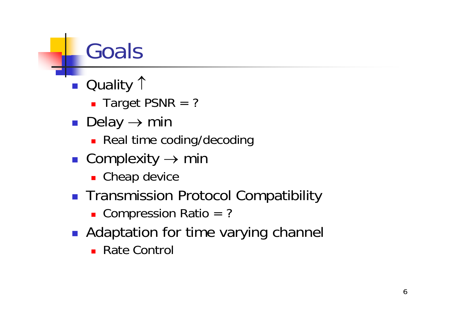# Goals

- Quality 1
	- Target PSNR = ?
- Delay  $\rightarrow$  min
	- **Real time coding/decoding**
- Complexity  $\rightarrow$  min
	- **Cheap device**
- Transmission Protocol Compatibility

■ Compression Ratio = ?

- **Adaptation for time varying channel** 
	- Rate Control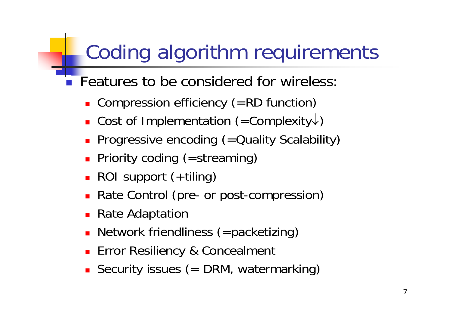#### Coding algorithm requirements

- Features to be considered for wireless:
	- **Compression efficiency (=RD function)**
	- Cost of Implementation (=Complexity↓)
	- **Progressive encoding (= Quality Scalability)**
	- **Priority coding (=streaming)**
	- ROI support (+tiling)
	- **Rate Control (pre- or post-compression)**
	- Rate Adaptation
	- **Network friendliness (=packetizing)**
	- **Error Resiliency & Concealment**
	- **Security issues (= DRM, watermarking)**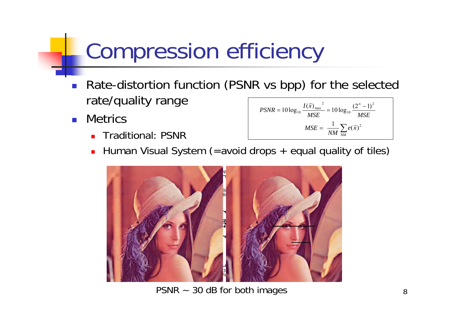#### Compression efficiency

- $\overline{\phantom{a}}$  Rate-distortion function (PSNR vs bpp) for the selected rate/quality range *Ixn* $n \sim 1$ 2 $\rightarrow$
- $\mathcal{A}^{\mathcal{A}}$ **Metrics** 
	- П Traditional: PSNR

$$
PSNR = 10 \log_{10} \frac{I(\vec{x})_{\text{max}}^2}{MSE} = 10 \log_{10} \frac{(2^n - 1)^2}{MSE}
$$

$$
MSE = \frac{1}{NM} \sum_{NM} e(\vec{x})^2
$$

u Human Visual System (=avoid drops + equal quality of tiles)



PSNR ~ 30 dB for both images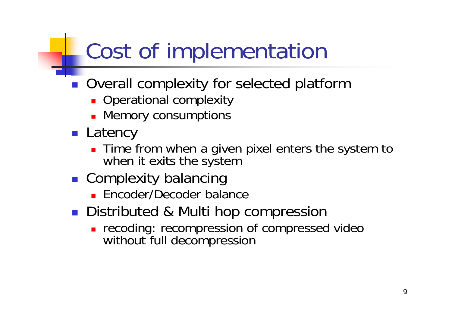## Cost of implementation

- **Overall complexity for selected platform** 
	- **Operational complexity**
	- **Memory consumptions**
- **Latency** 
	- **Time from when a given pixel enters the system to** when it exits the system
- **Complexity balancing** 
	- **Encoder/Decoder balance**
- **Distributed & Multi hop compression** 
	- **recoding: recompression of compressed video** without full decompression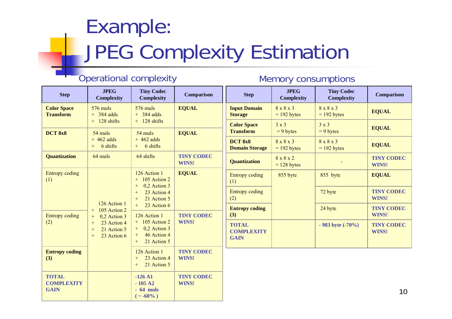#### Example: JPEG Complexity Estimation

#### Operational complexity Memory consumptions

| <b>Step</b>                                      | <b>JPEG</b><br><b>Complexity</b>                                                                                                            | <b>Tiny Codec</b><br><b>Complexity</b>                                                                                                                                                                     | <b>Comparison</b>                                 | <b>Step</b>                                      | <b>JPEG</b><br><b>Complexity</b> | <b>Tiny Codec</b><br><b>Complexity</b> | <b>Comparison</b>          |
|--------------------------------------------------|---------------------------------------------------------------------------------------------------------------------------------------------|------------------------------------------------------------------------------------------------------------------------------------------------------------------------------------------------------------|---------------------------------------------------|--------------------------------------------------|----------------------------------|----------------------------------------|----------------------------|
| <b>Color Space</b><br><b>Transform</b>           | 576 muls<br>$+$ 384 adds                                                                                                                    | 576 muls<br>$+$ 384 adds                                                                                                                                                                                   | <b>EQUAL</b>                                      | <b>Input Domain</b><br><b>Storage</b>            | 8 x 8 x 3<br>$= 192$ bytes       | 8 x 8 x 3<br>$= 192$ bytes             | <b>EQUAL</b>               |
| <b>DCT 8x8</b>                                   | $+$ 128 shifts<br>$54$ muls                                                                                                                 | $+$ 128 shifts<br>54 muls                                                                                                                                                                                  | <b>EQUAL</b>                                      | <b>Color Space</b><br><b>Transform</b>           | 3x3<br>$= 9$ bytes               | 3x3<br>$= 9$ bytes                     | <b>EQUAL</b>               |
|                                                  | $+462$ adds<br>6 shifts<br>$+$                                                                                                              | $+462$ adds<br>6 shifts<br>$+$                                                                                                                                                                             |                                                   | DCT 8x8<br><b>Domain Storage</b>                 | 8 x 8 x 3<br>$= 192$ bytes       | 8 x 8 x 3<br>$= 192$ bytes             | <b>EQUAL</b>               |
| <b>Quantization</b>                              | 64 muls                                                                                                                                     | 64 shifts                                                                                                                                                                                                  | <b>TINY CODEC</b><br>WINS!                        | <b>Quantization</b>                              | 8x8x2<br>$= 128$ bytes           |                                        | <b>TINY CODEC</b><br>WINS! |
| <b>Entropy coding</b><br>(1)                     | 126 Action 1<br>105 Action 2<br>$^{+}$<br>0,2 Action 3<br>$^{+}$<br>23 Action 4<br>$^{+}$<br>21 Action 5<br>$^{+}$<br>23 Action 6<br>$^{+}$ | 126 Action 1<br>105 Action 2<br>$+$<br>0,2 Action 3<br>$^{+}$<br>23 Action 4<br>21 Action 5<br>$+$<br>23 Action 6<br>126 Action 1<br>$+$ 105 Action 2<br>0,2 Action 3<br>46 Action 4<br>21 Action 5<br>$+$ | <b>EQUAL</b><br><b>TINY CODEC</b><br><b>WINS!</b> | <b>Entropy coding</b><br>(1)                     | 855 byte                         | 855 byte                               | <b>EQUAL</b>               |
|                                                  |                                                                                                                                             |                                                                                                                                                                                                            |                                                   | <b>Entropy coding</b><br>(2)                     |                                  | 72 byte                                | <b>TINY CODEC</b><br>WINS! |
| <b>Entropy coding</b>                            |                                                                                                                                             |                                                                                                                                                                                                            |                                                   | <b>Entropy coding</b><br>(3)                     |                                  | 24 byte                                | <b>TINY CODEC</b><br>WINS! |
| (2)                                              |                                                                                                                                             |                                                                                                                                                                                                            |                                                   | <b>TOTAL</b><br><b>COMPLEXITY</b><br><b>GAIN</b> |                                  | $-983$ byte $(-70\%)$                  | <b>TINY CODEC</b><br>WINS! |
| <b>Entropy coding</b><br>(3)                     |                                                                                                                                             | 126 Action 1<br>23 Action 4<br>$+$<br>21 Action 5<br>$^{+}$                                                                                                                                                | <b>TINY CODEC</b><br>WINS!                        |                                                  |                                  |                                        |                            |
| <b>TOTAL</b><br><b>COMPLEXITY</b><br><b>GAIN</b> |                                                                                                                                             | $-126A1$<br>$-105A2$<br>$-64$ muls<br>$(- -60\%)$                                                                                                                                                          | <b>TINY CODEC</b><br>WINS!                        |                                                  |                                  |                                        | 10 <sup>°</sup>            |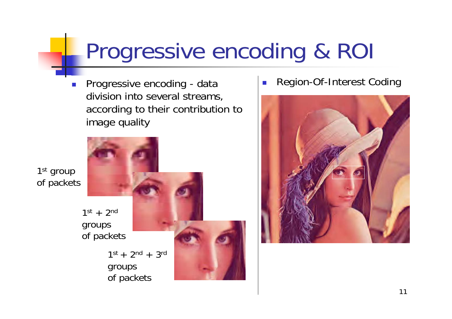#### Progressive encoding & ROI

F. Progressive encoding - data division into several streams, according to their contribution to image quality

1<sup>st</sup> group of packets



 $\mathcal{C}^{\mathcal{A}}$ Region-Of-Interest Coding

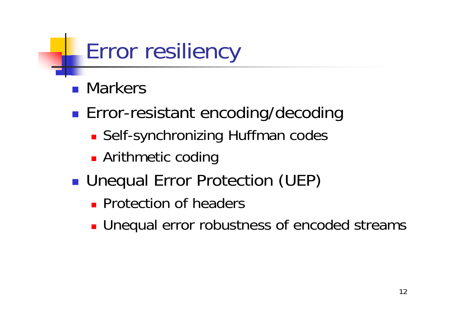#### Error resiliency

- **Narkers**
- **Error-resistant encoding/decoding** 
	- **Self-synchronizing Huffman codes**
	- **Arithmetic coding**
- **Unequal Error Protection (UEP)** 
	- **Protection of headers**
	- **Unequal error robustness of encoded streams**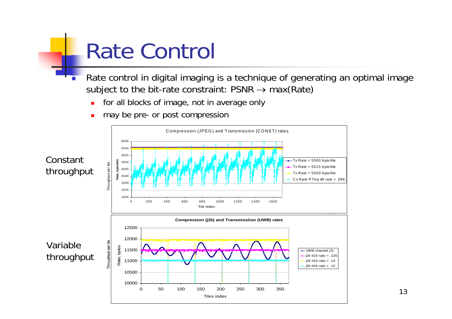## Rate Control

- П Rate control in digital imaging is a technique of generating an optimal image subject to the bit-rate constraint:  $PSNR \rightarrow max(Rate)$ 
	- П for all blocks of image, not in average only
	- П may be pre- or post compression

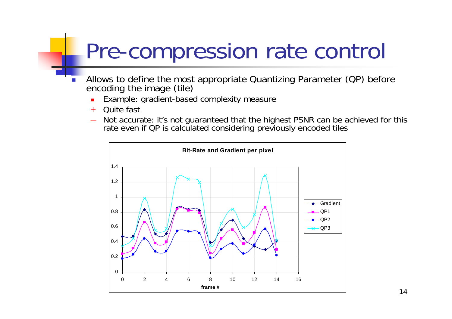#### Pre-compression rate control

- П Allows to define the most appropriate Quantizing Parameter (QP) before encoding the image (tile)
	- П Example: gradient-based complexity measure
	- $+$ Quite fast
	- \_\_\_\_ Not accurate: it's not guaranteed that the highest PSNR can be achieved for this rate even if QP is calculated considering previously encoded tiles

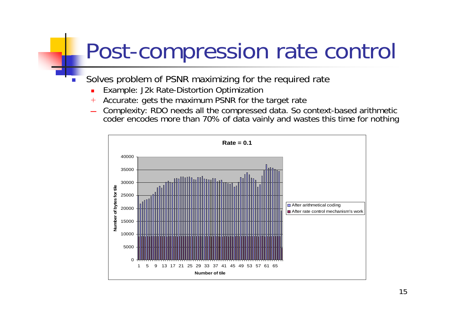#### Post-compression rate control

- Solves problem of PSNR maximizing for the required rate
	- П Example: J2k Rate-Distortion Optimization

П

- $\, + \,$ Accurate: gets the maximum PSNR for the target rate
- \_\_\_\_ Complexity: RDO needs all the compressed data. So context-based arithmetic coder encodes more than 70% of data vainly and wastes this time for nothing

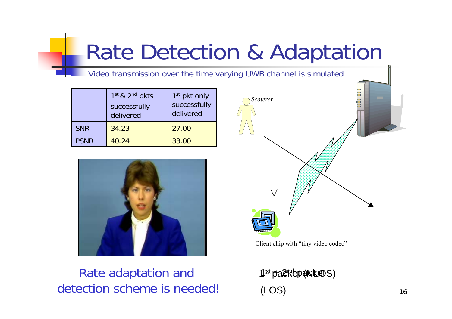#### Rate Detection & Adaptation

Video transmission over the time varying UWB channel is simulated

|             | 1st & 2nd pkts<br>successfully<br>delivered | $1st$ pkt only<br>successfully<br>delivered |  |  |
|-------------|---------------------------------------------|---------------------------------------------|--|--|
| <b>SNR</b>  | 34.23                                       | 27.00                                       |  |  |
| <b>PSNR</b> | 40.24                                       | 33.00                                       |  |  |



#### Rate adaptation and detection scheme is needed!



Client chip with "tiny video codec"

1s<sup>st</sup> pa2kepaidk@S) (LOS)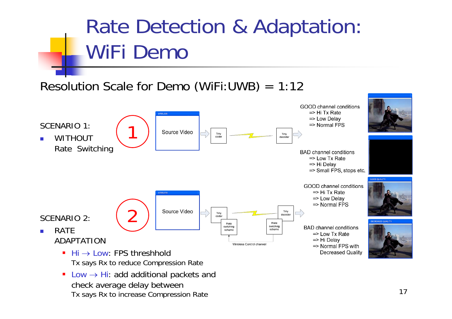#### Rate Detection & Adaptation: WiFi Demo

#### Resolution Scale for Demo (WiFi:UWB) = 1:12



 $\blacksquare$  Low  $\rightarrow$  Hi: add additional packets and check average delay between Tx says Rx to increase Compression Rate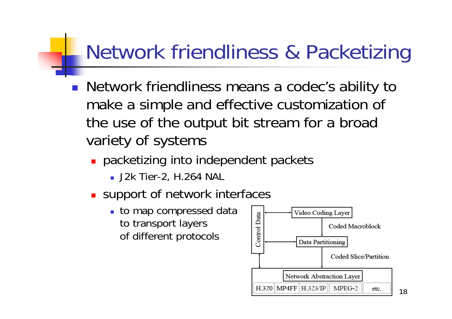#### Network friendliness & Packetizing

- Network friendliness means a codec's ability to make a simple and effective customization of the use of the output bit stream for a broad variety of systems
	- **packetizing into independent packets** 
		- J2k Tier-2, H.264 NAL
	- **Support of network interfaces** 
		- **to map compressed data** to transport layers of different protocols